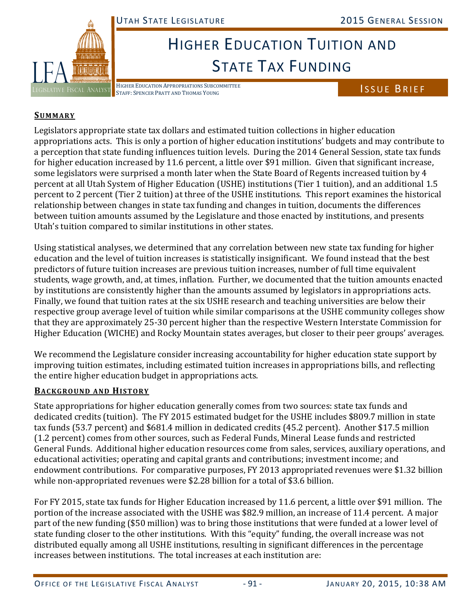

# HIGHER EDUCATION TUITION AND STATE TAX FUNDING

HIGHER EDUCATION APPROPRIATIONS SUBCOMMITTEE HIGHER EDUCATION APPROPRIATIONS SUBCOMMITTEE<br>STAFF: SPENCER PRATT AND THOMAS YOUNG IN THE STAFF: SPENCER PRATT AND THOMAS YOUNG

## **SUMMARY**

Legislators appropriate state tax dollars and estimated tuition collections in higher education appropriations acts. This is only a portion of higher education institutions' budgets and may contribute to a perception that state funding influences tuition levels. During the 2014 General Session, state tax funds for higher education increased by 11.6 percent, a little over \$91 million. Given that significant increase, some legislators were surprised a month later when the State Board of Regents increased tuition by 4 percent at all Utah System of Higher Education (USHE) institutions (Tier 1 tuition), and an additional 1.5 percent to 2 percent (Tier 2 tuition) at three of the USHE institutions. This report examines the historical relationship between changes in state tax funding and changes in tuition, documents the differences between tuition amounts assumed by the Legislature and those enacted by institutions, and presents Utah's tuition compared to similar institutions in other states.

Using statistical analyses, we determined that any correlation between new state tax funding for higher education and the level of tuition increases is statistically insignificant. We found instead that the best predictors of future tuition increases are previous tuition increases, number of full time equivalent students, wage growth, and, at times, inflation. Further, we documented that the tuition amounts enacted by institutions are consistently higher than the amounts assumed by legislators in appropriations acts. Finally, we found that tuition rates at the six USHE research and teaching universities are below their respective group average level of tuition while similar comparisons at the USHE community colleges show that they are approximately 25-30 percent higher than the respective Western Interstate Commission for Higher Education (WICHE) and Rocky Mountain states averages, but closer to their peer groups' averages.

We recommend the Legislature consider increasing accountability for higher education state support by improving tuition estimates, including estimated tuition increases in appropriations bills, and reflecting the entire higher education budget in appropriations acts.

## **BACKGROUND AND HISTORY**

State appropriations for higher education generally comes from two sources: state tax funds and dedicated credits (tuition). The FY 2015 estimated budget for the USHE includes \$809.7 million in state tax funds (53.7 percent) and \$681.4 million in dedicated credits (45.2 percent). Another \$17.5 million (1.2 percent) comes from other sources, such as Federal Funds, Mineral Lease funds and restricted General Funds. Additional higher education resources come from sales, services, auxiliary operations, and educational activities; operating and capital grants and contributions; investment income; and endowment contributions. For comparative purposes, FY 2013 appropriated revenues were \$1.32 billion while non-appropriated revenues were  $$2.28$  billion for a total of  $$3.6$  billion.

For FY 2015, state tax funds for Higher Education increased by 11.6 percent, a little over \$91 million. The portion of the increase associated with the USHE was \$82.9 million, an increase of 11.4 percent. A major part of the new funding (\$50 million) was to bring those institutions that were funded at a lower level of state funding closer to the other institutions. With this "equity" funding, the overall increase was not distributed equally among all USHE institutions, resulting in significant differences in the percentage increases between institutions. The total increases at each institution are: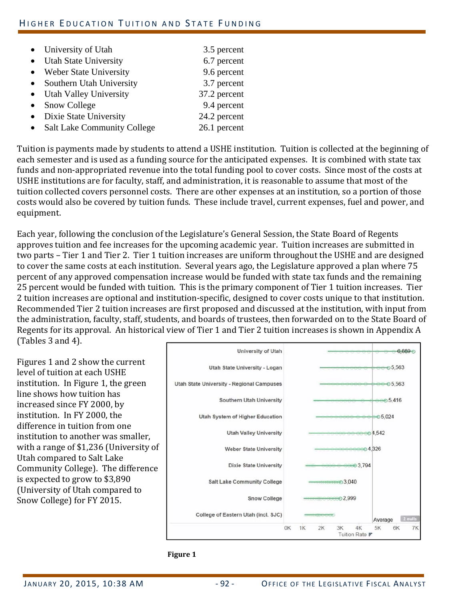| • University of Utah                            | 3.5 percent  |
|-------------------------------------------------|--------------|
| • Utah State University                         | 6.7 percent  |
| • Weber State University                        | 9.6 percent  |
| Southern Utah University<br>$\bullet$           | 3.7 percent  |
| • Utah Valley University                        | 37.2 percent |
| Snow College<br>$\bullet$                       | 9.4 percent  |
| • Dixie State University                        | 24.2 percent |
| <b>Salt Lake Community College</b><br>$\bullet$ | 26.1 percent |

Tuition is payments made by students to attend a USHE institution. Tuition is collected at the beginning of each semester and is used as a funding source for the anticipated expenses. It is combined with state tax funds and non-appropriated revenue into the total funding pool to cover costs. Since most of the costs at USHE institutions are for faculty, staff, and administration, it is reasonable to assume that most of the tuition collected covers personnel costs. There are other expenses at an institution, so a portion of those costs would also be covered by tuition funds. These include travel, current expenses, fuel and power, and equipment. 

Each year, following the conclusion of the Legislature's General Session, the State Board of Regents approves tuition and fee increases for the upcoming academic year. Tuition increases are submitted in two parts – Tier 1 and Tier 2. Tier 1 tuition increases are uniform throughout the USHE and are designed to cover the same costs at each institution. Several years ago, the Legislature approved a plan where 75 percent of any approved compensation increase would be funded with state tax funds and the remaining 25 percent would be funded with tuition. This is the primary component of Tier 1 tuition increases. Tier 2 tuition increases are optional and institution-specific, designed to cover costs unique to that institution. Recommended Tier 2 tuition increases are first proposed and discussed at the institution, with input from the administration, faculty, staff, students, and boards of trustees, then forwarded on to the State Board of Regents for its approval. An historical view of Tier 1 and Tier 2 tuition increases is shown in Appendix A

(Tables  $3$  and  $4$ ).

Figures 1 and 2 show the current level of tuition at each USHE institution. In Figure 1, the green line shows how tuition has increased since FY 2000, by institution. In FY 2000, the difference in tuition from one institution to another was smaller, with a range of  $$1,236$  (University of Utah compared to Salt Lake Community College). The difference is expected to grow to \$3,890 (University of Utah compared to Snow College) for FY 2015.



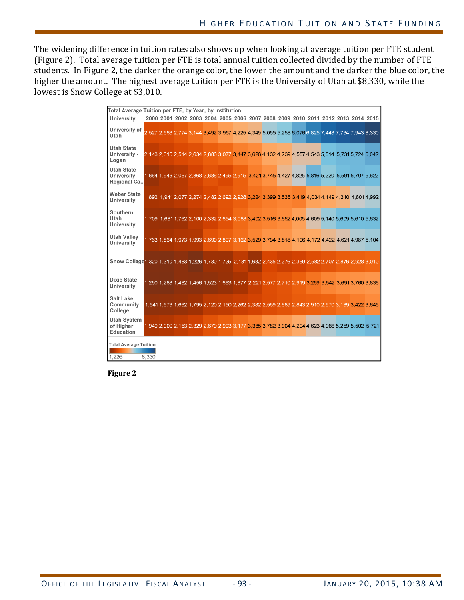The widening difference in tuition rates also shows up when looking at average tuition per FTE student (Figure 2). Total average tuition per FTE is total annual tuition collected divided by the number of FTE students. In Figure 2, the darker the orange color, the lower the amount and the darker the blue color, the higher the amount. The highest average tuition per FTE is the University of Utah at \$8,330, while the lowest is Snow College at \$3,010.

| Total Average Tuition per FTE, by Year, by Institution                                                       |       |  |  |  |  |  |                                                                                                 |  |  |
|--------------------------------------------------------------------------------------------------------------|-------|--|--|--|--|--|-------------------------------------------------------------------------------------------------|--|--|
| <b>University</b>                                                                                            |       |  |  |  |  |  | 2000 2001 2002 2003 2004 2005 2006 2007 2008 2009 2010 2011 2012 2013 2014 2015                 |  |  |
| University of<br>Utah                                                                                        |       |  |  |  |  |  | 2,527 2,563 2,774 3,144 3,492 3,957 4,225 4,349 5,055 5,258 6,076 6,825 7,443 7,734 7,943 8,330 |  |  |
| <b>Utah State</b><br>University -<br>Logan                                                                   |       |  |  |  |  |  | 2,143 2,315 2,514 2,634 2,886 3,077 3,447 3,626 4,132 4,239 4,557 4,543 5,514 5,731 5,724 6,042 |  |  |
| <b>Utah State</b><br>University -<br>Regional Ca                                                             |       |  |  |  |  |  | 1,664 1,946 2,067 2,368 2,686 2,495 2,915 3,421 3,745 4,427 4,825 5,816 5,220 5,591 5,707 5,622 |  |  |
| <b>Weber State</b><br>University                                                                             |       |  |  |  |  |  | 1,892 1,941 2,077 2,274 2,482 2,692 2,928 3,224 3,399 3,535 3,419 4,034 4,149 4,310 4,801 4,992 |  |  |
| Southern<br>Utah<br><b>University</b>                                                                        |       |  |  |  |  |  | 1,709 1,681 1,762 2,100 2,332 2,654 3,088 3,402 3,516 3,652 4,005 4,609 5,140 5,609 5,610 5,632 |  |  |
| <b>Utah Valley</b><br><b>University</b>                                                                      |       |  |  |  |  |  | 1,763 1,864 1,973 1,993 2,690 2,897 3,162 3,529 3,794 3,818 4,106 4,172 4,422 4,621 4,987 5,104 |  |  |
| Snow College 1,320 1,310 1,483 1,226 1,730 1,725 2,131 1,682 2,435 2,276 2,369 2,582 2,707 2,876 2,928 3,010 |       |  |  |  |  |  |                                                                                                 |  |  |
| <b>Dixie State</b><br>University                                                                             |       |  |  |  |  |  | 1,290 1,283 1,482 1,456 1,523 1,663 1,877 2,221 2,577 2,710 2,919 3,259 3,542 3,691 3,760 3,836 |  |  |
| <b>Salt Lake</b><br>Community<br>College                                                                     |       |  |  |  |  |  | 1,541 1,576 1,662 1,795 2,120 2,150 2,262 2,382 2,559 2,689 2,843 2,910 2,970 3,189 3,422 3,645 |  |  |
| <b>Utah System</b><br>of Higher<br>Education                                                                 |       |  |  |  |  |  | 1.949 2.009 2.153 2.329 2.679 2.903 3.177 3.385 3.782 3.904 4.204 4.623 4.986 5.259 5.502 5.721 |  |  |
| <b>Total Average Tuition</b><br>1.226                                                                        | 8.330 |  |  |  |  |  |                                                                                                 |  |  |

**Figure 2**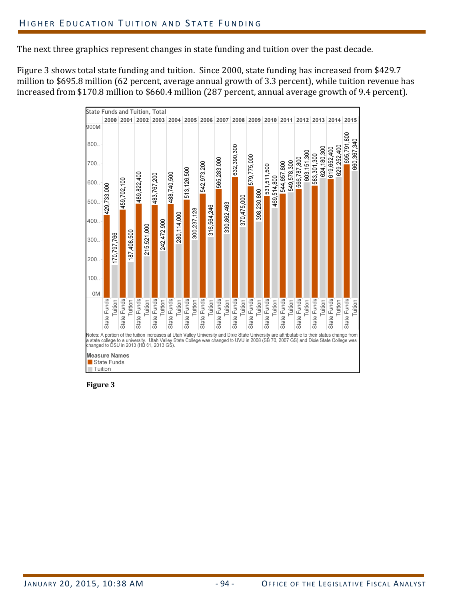The next three graphics represent changes in state funding and tuition over the past decade.

Figure 3 shows total state funding and tuition. Since 2000, state funding has increased from \$429.7 million to \$695.8 million (62 percent, average annual growth of 3.3 percent), while tuition revenue has increased from \$170.8 million to \$660.4 million (287 percent, annual average growth of 9.4 percent).

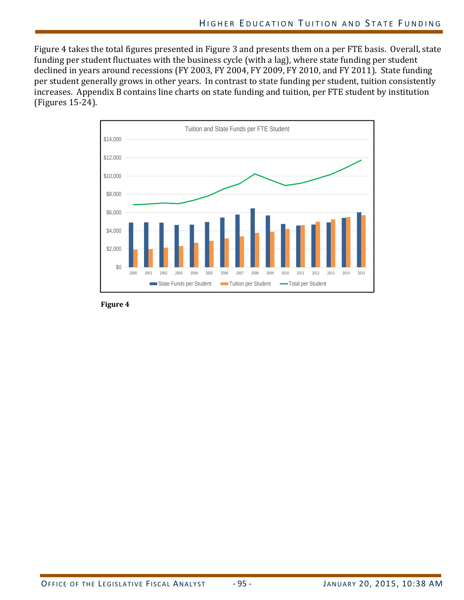Figure 4 takes the total figures presented in Figure 3 and presents them on a per FTE basis. Overall, state funding per student fluctuates with the business cycle (with a lag), where state funding per student declined in years around recessions (FY 2003, FY 2004, FY 2009, FY 2010, and FY 2011). State funding per student generally grows in other years. In contrast to state funding per student, tuition consistently increases. Appendix B contains line charts on state funding and tuition, per FTE student by institution (Figures 15‐24).

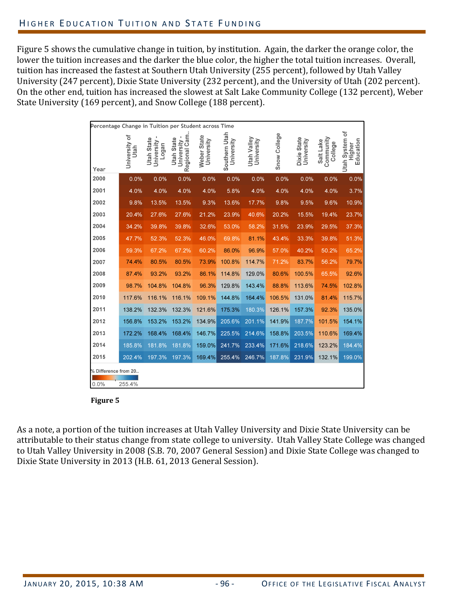Figure 5 shows the cumulative change in tuition, by institution. Again, the darker the orange color, the lower the tuition increases and the darker the blue color, the higher the total tuition increases. Overall, tuition has increased the fastest at Southern Utah University (255 percent), followed by Utah Valley University (247 percent), Dixie State University (232 percent), and the University of Utah (202 percent). On the other end, tuition has increased the slowest at Salt Lake Community College (132 percent), Weber State University (169 percent), and Snow College (188 percent).

| Percentage Change in Tuition per Student across Time |                       |                                          |                                                       |                           |                             |                           |              |                           |                                   |                                              |
|------------------------------------------------------|-----------------------|------------------------------------------|-------------------------------------------------------|---------------------------|-----------------------------|---------------------------|--------------|---------------------------|-----------------------------------|----------------------------------------------|
| Year                                                 | University of<br>Utah | <b>Utah State</b><br>University<br>Logan | Regional Cam.<br>٠<br><b>Utah State</b><br>University | Weber State<br>University | Southern Utah<br>University | Utah Valley<br>University | Snow College | Dixie State<br>University | Community<br>Salt Lake<br>College | <b>Utah System of</b><br>Education<br>Higher |
| 2000                                                 | 0.0%                  | 0.0%                                     | 0.0%                                                  | 0.0%                      | 0.0%                        | 0.0%                      | 0.0%         | 0.0%                      | 0.0%                              | 0.0%                                         |
| 2001                                                 | 4.0%                  | 4.0%                                     | 4.0%                                                  | 4.0%                      | 5.8%                        | 4.0%                      | 4.0%         | 4.0%                      | 4.0%                              | 3.7%                                         |
| 2002                                                 | 9.8%                  | 13.5%                                    | 13.5%                                                 | 9.3%                      | 13.6%                       | 17.7%                     | 9.8%         | 9.5%                      | 9.6%                              | 10.9%                                        |
| 2003                                                 | 20.4%                 | 27.6%                                    | 27.6%                                                 | 21.2%                     | 23.9%                       | 40.6%                     | 20.2%        | 15.5%                     | 19.4%                             | 23.7%                                        |
| 2004                                                 | 34.2%                 | 39.8%                                    | 39.8%                                                 | 32.6%                     | 53.0%                       | 58.2%                     | 31.5%        | 23.9%                     | 29.5%                             | 37.3%                                        |
| 2005                                                 | 47.7%                 | 52.3%                                    | 52.3%                                                 | 46.0%                     | 69.8%                       | 81.1%                     | 43.4%        | 33.3%                     | 39.8%                             | 51.3%                                        |
| 2006                                                 | 59.3%                 | 67.2%                                    | 67.2%                                                 | 60.2%                     | 86.0%                       | 96.9%                     | 57.0%        | 40.2%                     | 50.2%                             | 65.2%                                        |
| 2007                                                 | 74.4%                 | 80.5%                                    | 80.5%                                                 | 73.9%                     | 100.8%                      | 114.7%                    | 71.2%        | 83.7%                     | 56.2%                             | 79.7%                                        |
| 2008                                                 | 87.4%                 | 93.2%                                    | 93.2%                                                 | 86.1%                     | 114.8%                      | 129.0%                    | 80.6%        | 100.5%                    | 65.5%                             | 92.6%                                        |
| 2009                                                 | 98.7%                 | 104.8%                                   | 104.8%                                                | 96.3%                     | 129.8%                      | 143.4%                    | 88.8%        | 113.6%                    | 74.5%                             | 102.8%                                       |
| 2010                                                 | 117.6%                | 116.1%                                   | 116.1%                                                | 109.1%                    | 144.8%                      | 164.4%                    | 106.5%       | 131.0%                    | 81.4%                             | 115.7%                                       |
| 2011                                                 | 138.2%                | 132.3%                                   | 132.3%                                                | 121.6%                    | 175.3%                      | 180.3%                    | 126.1%       | 157.3%                    | 92.3%                             | 135.0%                                       |
| 2012                                                 | 156.8%                | 153.2%                                   | 153.2%                                                | 134.9%                    | 205.6%                      | 201.1%                    | 141.9%       | 187.7%                    | 101.5%                            | 154.1%                                       |
| 2013                                                 | 172.2%                | 168.4%                                   | 168.4%                                                | 146.7%                    | 225.5%                      | 214.6%                    | 158.8%       | 203.5%                    | 110.6%                            | 169.4%                                       |
| 2014                                                 | 185.8%                | 181.8%                                   | 181.8%                                                | 159.0%                    | 241.7%                      | 233.4%                    | 171.6%       | 218.6%                    | 123.2%                            | 184.4%                                       |
| 2015                                                 | 202.4%                | 197.3%                                   | 197.3%                                                | 169.4%                    | 255.4%                      | 246.7%                    | 187.8%       | 231.9%                    | 132.1%                            | 199.0%                                       |
| % Difference from 20                                 |                       |                                          |                                                       |                           |                             |                           |              |                           |                                   |                                              |
| 0.0%                                                 | 255.4%                |                                          |                                                       |                           |                             |                           |              |                           |                                   |                                              |



As a note, a portion of the tuition increases at Utah Valley University and Dixie State University can be attributable to their status change from state college to university. Utah Valley State College was changed to Utah Valley University in 2008 (S.B. 70, 2007 General Session) and Dixie State College was changed to Dixie State University in 2013 (H.B. 61, 2013 General Session).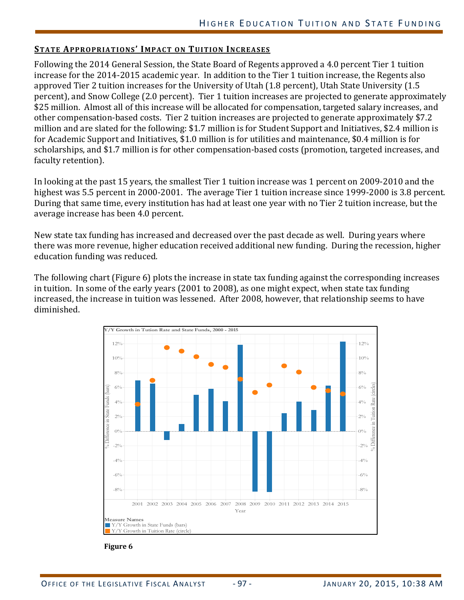#### **STATE APPROPRIATIONS' IMPACT ON TUITION INCREASES**

Following the 2014 General Session, the State Board of Regents approved a 4.0 percent Tier 1 tuition increase for the 2014-2015 academic year. In addition to the Tier 1 tuition increase, the Regents also approved Tier 2 tuition increases for the University of Utah (1.8 percent), Utah State University (1.5 percent), and Snow College (2.0 percent). Tier 1 tuition increases are projected to generate approximately \$25 million. Almost all of this increase will be allocated for compensation, targeted salary increases, and other compensation-based costs. Tier 2 tuition increases are projected to generate approximately \$7.2 million and are slated for the following: \$1.7 million is for Student Support and Initiatives, \$2.4 million is for Academic Support and Initiatives, \$1.0 million is for utilities and maintenance, \$0.4 million is for scholarships, and \$1.7 million is for other compensation-based costs (promotion, targeted increases, and faculty retention).

In looking at the past 15 years, the smallest Tier 1 tuition increase was 1 percent on 2009-2010 and the highest was 5.5 percent in 2000-2001. The average Tier 1 tuition increase since 1999-2000 is 3.8 percent. During that same time, every institution has had at least one year with no Tier 2 tuition increase, but the average increase has been 4.0 percent.

New state tax funding has increased and decreased over the past decade as well. During years where there was more revenue, higher education received additional new funding. During the recession, higher education funding was reduced.

The following chart (Figure 6) plots the increase in state tax funding against the corresponding increases in tuition. In some of the early years (2001 to 2008), as one might expect, when state tax funding increased, the increase in tuition was lessened. After 2008, however, that relationship seems to have diminished. 

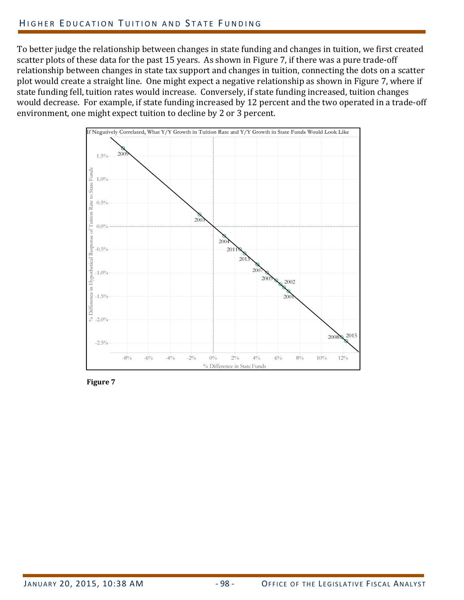To better judge the relationship between changes in state funding and changes in tuition, we first created scatter plots of these data for the past 15 years. As shown in Figure 7, if there was a pure trade-off relationship between changes in state tax support and changes in tuition, connecting the dots on a scatter plot would create a straight line. One might expect a negative relationship as shown in Figure 7, where if state funding fell, tuition rates would increase. Conversely, if state funding increased, tuition changes would decrease. For example, if state funding increased by 12 percent and the two operated in a trade-off environment, one might expect tuition to decline by 2 or 3 percent.



**Figure 7**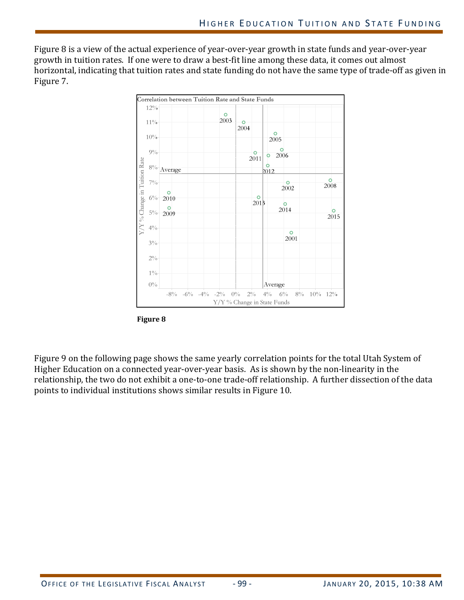Figure 8 is a view of the actual experience of year-over-year growth in state funds and year-over-year growth in tuition rates. If one were to draw a best-fit line among these data, it comes out almost horizontal, indicating that tuition rates and state funding do not have the same type of trade-off as given in Figure 7.





Figure 9 on the following page shows the same yearly correlation points for the total Utah System of Higher Education on a connected year-over-year basis. As is shown by the non-linearity in the relationship, the two do not exhibit a one-to-one trade-off relationship. A further dissection of the data points to individual institutions shows similar results in Figure 10.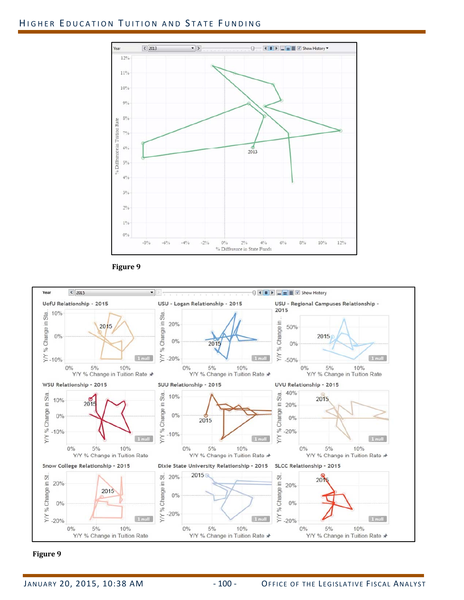## HIGHER EDUCATION TUITION AND STATE FUNDING





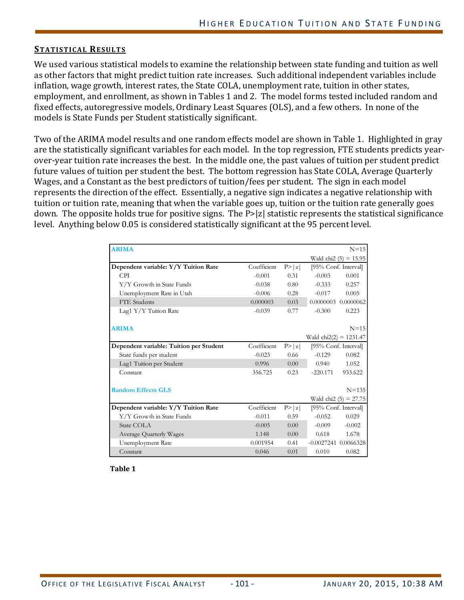#### **STATISTICAL RESULTS**

We used various statistical models to examine the relationship between state funding and tuition as well as other factors that might predict tuition rate increases. Such additional independent variables include inflation, wage growth, interest rates, the State COLA, unemployment rate, tuition in other states, employment, and enrollment, as shown in Tables 1 and 2. The model forms tested included random and fixed effects, autoregressive models, Ordinary Least Squares (OLS), and a few others. In none of the models is State Funds per Student statistically significant.

Two of the ARIMA model results and one random effects model are shown in Table 1. Highlighted in gray are the statistically significant variables for each model. In the top regression, FTE students predicts yearover-year tuition rate increases the best. In the middle one, the past values of tuition per student predict future values of tuition per student the best. The bottom regression has State COLA, Average Quarterly Wages, and a Constant as the best predictors of tuition/fees per student. The sign in each model represents the direction of the effect. Essentially, a negative sign indicates a negative relationship with tuition or tuition rate, meaning that when the variable goes up, tuition or the tuition rate generally goes down. The opposite holds true for positive signs. The P>|z| statistic represents the statistical significance level. Anything below 0.05 is considered statistically significant at the 95 percent level.

| <b>ARIMA</b>                            |             |        |                                 | $N=15$                  |
|-----------------------------------------|-------------|--------|---------------------------------|-------------------------|
|                                         |             |        |                                 | Wald chi2 $(5) = 15.95$ |
| Dependent variable: Y/Y Tuition Rate    | Coefficient | P >  z | [95% Conf. Interval]            |                         |
| <b>CPI</b>                              | $-0.001$    | 0.31   | $-0.003$                        | 0.001                   |
| Y/Y Growth in State Funds               | $-0.038$    | 0.80   | $-0.333$                        | 0.257                   |
| Unemployment Rate in Utah               | $-0.006$    | 0.28   | $-0.017$                        | 0.005                   |
| FTE Students                            | 0.000003    | 0.03   |                                 | 0.0000003 0.0000062     |
| Lag1 Y/Y Tuition Rate                   | $-0.039$    | 0.77   | $-0.300$                        | 0.223                   |
|                                         |             |        |                                 |                         |
| <b>ARIMA</b>                            |             |        |                                 | $N=15$                  |
|                                         |             |        | Wald $\text{chi2}(2) = 1231.47$ |                         |
| Dependent variable: Tuition per Student | Coefficient | P >  z | [95% Conf. Interval]            |                         |
| State funds per student                 | $-0.023$    | 0.66   | $-0.129$                        | 0.082                   |
| Lag1 Tuition per Student                | 0.996       | 0.00   | 0.940                           | 1.052                   |
| Constant                                | 356.725     | 0.23   | $-220.171$                      | 933.622                 |
| <b>Random Effects GLS</b>               |             |        |                                 | $N = 135$               |
|                                         |             |        |                                 | Wald chi2 $(5) = 27.75$ |
| Dependent variable: Y/Y Tuition Rate    | Coefficient | P >  z | [95% Conf. Interval]            |                         |
| Y/Y Growth in State Funds               | $-0.011$    | 0.59   | $-0.052$                        | 0.029                   |
| State COLA                              | $-0.005$    | 0.00   | $-0.009$                        | $-0.002$                |
| Average Quarterly Wages                 | 1.148       | 0.00   | 0.618                           | 1.678                   |
| Unemployment Rate                       | 0.001954    | 0.41   | $-0.0027241$ $0.0066328$        |                         |
| Constant                                | 0.046       | 0.01   | 0.010                           | 0.082                   |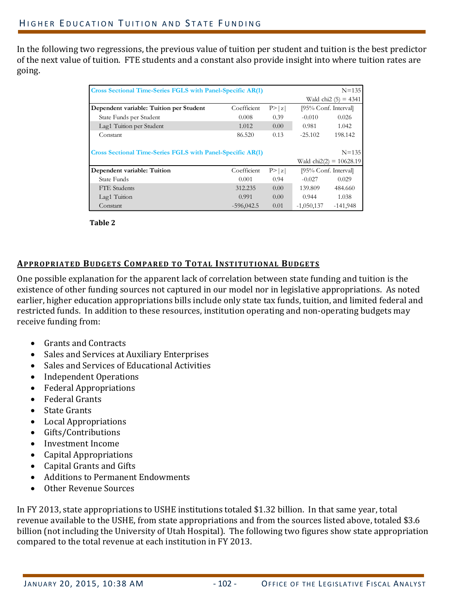In the following two regressions, the previous value of tuition per student and tuition is the best predictor of the next value of tuition. FTE students and a constant also provide insight into where tuition rates are going. 

| <b>Cross Sectional Time-Series FGLS with Panel-Specific AR(1)</b> |              | $N = 135$ |                      |                                         |
|-------------------------------------------------------------------|--------------|-----------|----------------------|-----------------------------------------|
|                                                                   |              |           |                      | Wald chi2 $(5) = 4341$                  |
| Dependent variable: Tuition per Student                           | Coefficient  | P> z      | [95% Conf. Interval] |                                         |
| State Funds per Student                                           | 0.008        | 0.39      | $-0.010$             | 0.026                                   |
| Lag1 Tuition per Student                                          | 1.012        | 0.00      | 0.981                | 1.042                                   |
| Constant                                                          | 86.520       | 0.13      | $-25.102$            | 198.142                                 |
| <b>Cross Sectional Time-Series FGLS with Panel-Specific AR(1)</b> |              |           |                      | $N = 135$<br>Wald chi $2(2) = 10628.19$ |
| Dependent variable: Tuition                                       | Coefficient  | P >  z    | [95% Conf. Interval] |                                         |
| State Funds                                                       | 0.001        | 0.94      | $-0.027$             | 0.029                                   |
| <b>FTE</b> Students                                               | 312.235      | 0.00      | 139.809              | 484.660                                 |
| Lag1 Tuition                                                      | 0.991        | 0.00      | 0.944                | 1.038                                   |
| Constant                                                          | $-596,042.5$ | 0.01      | $-1,050,137$         | $-141,948$                              |

**Table 2**

## **APPROPRIATED BUDGETS COMPARED TO TOTAL INSTITUTIONAL BUDGETS**

One possible explanation for the apparent lack of correlation between state funding and tuition is the existence of other funding sources not captured in our model nor in legislative appropriations. As noted earlier, higher education appropriations bills include only state tax funds, tuition, and limited federal and restricted funds. In addition to these resources, institution operating and non-operating budgets may receive funding from:

- Grants and Contracts
- Sales and Services at Auxiliary Enterprises
- Sales and Services of Educational Activities
- Independent Operations
- Federal Appropriations
- Federal Grants
- State Grants
- Local Appropriations
- Gifts/Contributions
- Investment Income
- Capital Appropriations
- Capital Grants and Gifts
- Additions to Permanent Endowments
- Other Revenue Sources

In FY 2013, state appropriations to USHE institutions totaled \$1.32 billion. In that same year, total revenue available to the USHE, from state appropriations and from the sources listed above, totaled \$3.6 billion (not including the University of Utah Hospital). The following two figures show state appropriation compared to the total revenue at each institution in FY 2013.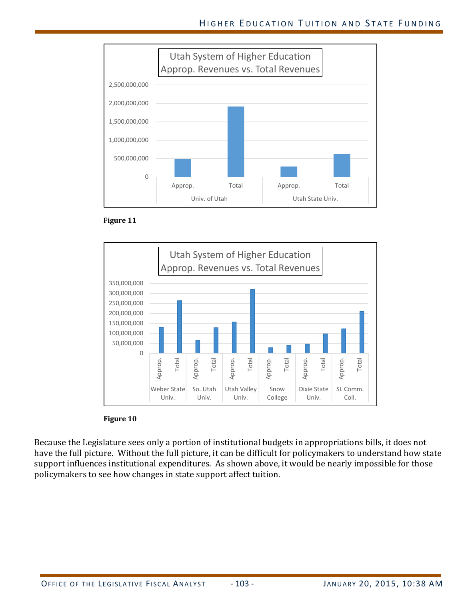







Because the Legislature sees only a portion of institutional budgets in appropriations bills, it does not have the full picture. Without the full picture, it can be difficult for policymakers to understand how state support influences institutional expenditures. As shown above, it would be nearly impossible for those policymakers to see how changes in state support affect tuition.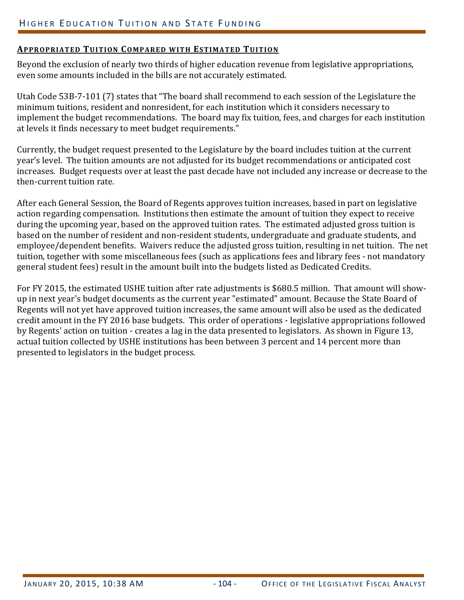## **APPROPRIATED TUITION COMPARED WITH ESTIMATED TUITION**

Beyond the exclusion of nearly two thirds of higher education revenue from legislative appropriations, even some amounts included in the bills are not accurately estimated.

Utah Code 53B-7-101 (7) states that "The board shall recommend to each session of the Legislature the minimum tuitions, resident and nonresident, for each institution which it considers necessary to implement the budget recommendations. The board may fix tuition, fees, and charges for each institution at levels it finds necessary to meet budget requirements."

Currently, the budget request presented to the Legislature by the board includes tuition at the current year's level. The tuition amounts are not adjusted for its budget recommendations or anticipated cost increases. Budget requests over at least the past decade have not included any increase or decrease to the then-current tuition rate.

After each General Session, the Board of Regents approves tuition increases, based in part on legislative action regarding compensation. Institutions then estimate the amount of tuition they expect to receive during the upcoming year, based on the approved tuition rates. The estimated adjusted gross tuition is based on the number of resident and non-resident students, undergraduate and graduate students, and employee/dependent benefits. Waivers reduce the adjusted gross tuition, resulting in net tuition. The net tuition, together with some miscellaneous fees (such as applications fees and library fees - not mandatory general student fees) result in the amount built into the budgets listed as Dedicated Credits.

For FY 2015, the estimated USHE tuition after rate adjustments is \$680.5 million. That amount will showup in next year's budget documents as the current year "estimated" amount. Because the State Board of Regents will not yet have approved tuition increases, the same amount will also be used as the dedicated credit amount in the FY 2016 base budgets. This order of operations - legislative appropriations followed by Regents' action on tuition - creates a lag in the data presented to legislators. As shown in Figure 13, actual tuition collected by USHE institutions has been between 3 percent and 14 percent more than presented to legislators in the budget process.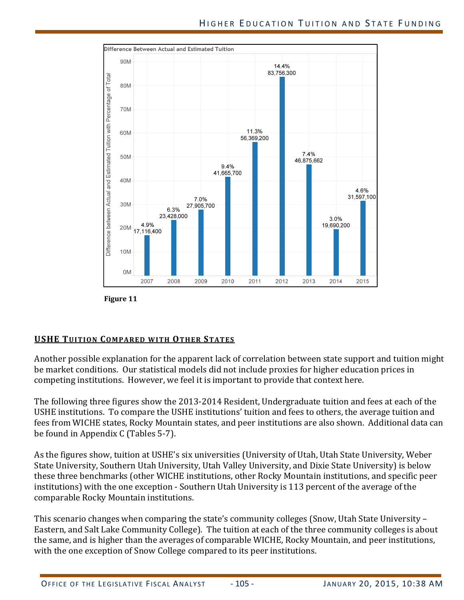

**Figure 11**

## **USHE TUITION COMPARED WITH OTHER STATES**

Another possible explanation for the apparent lack of correlation between state support and tuition might be market conditions. Our statistical models did not include proxies for higher education prices in competing institutions. However, we feel it is important to provide that context here.

The following three figures show the 2013-2014 Resident, Undergraduate tuition and fees at each of the USHE institutions. To compare the USHE institutions' tuition and fees to others, the average tuition and fees from WICHE states, Rocky Mountain states, and peer institutions are also shown. Additional data can be found in Appendix  $C$  (Tables 5-7).

As the figures show, tuition at USHE's six universities (University of Utah, Utah State University, Weber State University, Southern Utah University, Utah Valley University, and Dixie State University) is below these three benchmarks (other WICHE institutions, other Rocky Mountain institutions, and specific peer institutions) with the one exception - Southern Utah University is 113 percent of the average of the comparable Rocky Mountain institutions.

This scenario changes when comparing the state's community colleges (Snow, Utah State University – Eastern, and Salt Lake Community College). The tuition at each of the three community colleges is about the same, and is higher than the averages of comparable WICHE, Rocky Mountain, and peer institutions, with the one exception of Snow College compared to its peer institutions.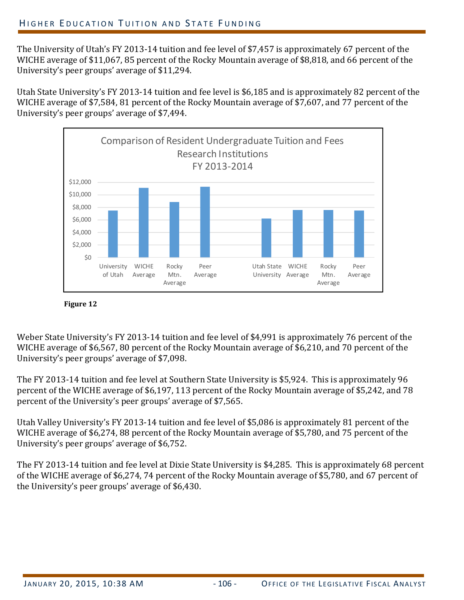The University of Utah's FY 2013-14 tuition and fee level of \$7,457 is approximately 67 percent of the WICHE average of \$11,067, 85 percent of the Rocky Mountain average of \$8,818, and 66 percent of the University's peer groups' average of \$11,294.

Utah State University's FY 2013-14 tuition and fee level is \$6,185 and is approximately 82 percent of the WICHE average of \$7,584, 81 percent of the Rocky Mountain average of \$7,607, and 77 percent of the University's peer groups' average of \$7,494.





Weber State University's FY 2013-14 tuition and fee level of \$4,991 is approximately 76 percent of the WICHE average of \$6,567, 80 percent of the Rocky Mountain average of \$6,210, and 70 percent of the University's peer groups' average of \$7,098.

The FY 2013-14 tuition and fee level at Southern State University is \$5,924. This is approximately 96 percent of the WICHE average of \$6,197, 113 percent of the Rocky Mountain average of \$5,242, and 78 percent of the University's peer groups' average of \$7,565.

Utah Valley University's FY 2013-14 tuition and fee level of \$5,086 is approximately 81 percent of the WICHE average of \$6,274, 88 percent of the Rocky Mountain average of \$5,780, and 75 percent of the University's peer groups' average of \$6,752.

The FY 2013-14 tuition and fee level at Dixie State University is \$4,285. This is approximately 68 percent of the WICHE average of \$6,274, 74 percent of the Rocky Mountain average of \$5,780, and 67 percent of the University's peer groups' average of  $$6,430$ .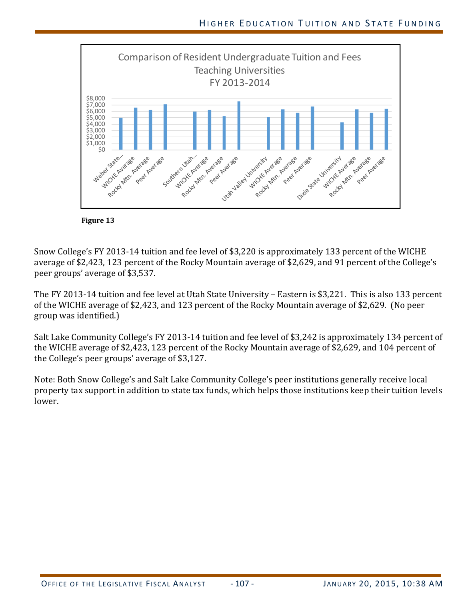



Snow College's FY 2013-14 tuition and fee level of \$3,220 is approximately 133 percent of the WICHE average of \$2,423, 123 percent of the Rocky Mountain average of \$2,629, and 91 percent of the College's peer groups' average of \$3,537.

The FY 2013-14 tuition and fee level at Utah State University – Eastern is \$3,221. This is also 133 percent of the WICHE average of \$2,423, and 123 percent of the Rocky Mountain average of \$2,629. (No peer group was identified.)

Salt Lake Community College's FY 2013-14 tuition and fee level of \$3,242 is approximately 134 percent of the WICHE average of \$2,423, 123 percent of the Rocky Mountain average of \$2,629, and 104 percent of the College's peer groups' average of \$3,127.

Note: Both Snow College's and Salt Lake Community College's peer institutions generally receive local property tax support in addition to state tax funds, which helps those institutions keep their tuition levels lower.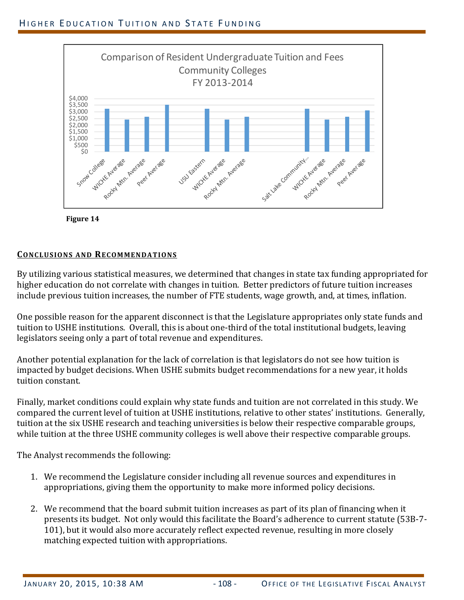

**Figure 14**

### **CONCLUSIONS AND RECOMMENDATIONS**

By utilizing various statistical measures, we determined that changes in state tax funding appropriated for higher education do not correlate with changes in tuition. Better predictors of future tuition increases include previous tuition increases, the number of FTE students, wage growth, and, at times, inflation.

One possible reason for the apparent disconnect is that the Legislature appropriates only state funds and tuition to USHE institutions. Overall, this is about one-third of the total institutional budgets, leaving legislators seeing only a part of total revenue and expenditures.

Another potential explanation for the lack of correlation is that legislators do not see how tuition is impacted by budget decisions. When USHE submits budget recommendations for a new year, it holds tuition constant. 

Finally, market conditions could explain why state funds and tuition are not correlated in this study. We compared the current level of tuition at USHE institutions, relative to other states' institutions. Generally, tuition at the six USHE research and teaching universities is below their respective comparable groups, while tuition at the three USHE community colleges is well above their respective comparable groups.

The Analyst recommends the following:

- 1. We recommend the Legislature consider including all revenue sources and expenditures in appropriations, giving them the opportunity to make more informed policy decisions.
- 2. We recommend that the board submit tuition increases as part of its plan of financing when it presents its budget. Not only would this facilitate the Board's adherence to current statute (53B-7-101), but it would also more accurately reflect expected revenue, resulting in more closely matching expected tuition with appropriations.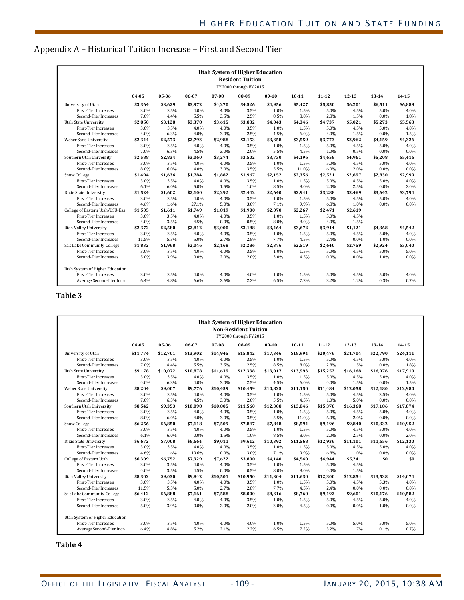## Appendix A - Historical Tuition Increase - First and Second Tier

| <b>Utah System of Higher Education</b><br><b>Resident Tuition</b> |         |         |         |         |         |         |           |           |           |           |           |
|-------------------------------------------------------------------|---------|---------|---------|---------|---------|---------|-----------|-----------|-----------|-----------|-----------|
| FY 2000 through FY 2015                                           |         |         |         |         |         |         |           |           |           |           |           |
|                                                                   | 04-05   | 05-06   | 06-07   | 07-08   | 08-09   | 09-10   | $10 - 11$ | $11 - 12$ | $12 - 13$ | $13 - 14$ | $14 - 15$ |
| University of Utah                                                | \$3,364 | \$3.629 | \$3.972 | \$4.270 | \$4.526 | \$4.956 | \$5.427   | \$5.850   | \$6.201   | \$6,511   | \$6.889   |
| <b>First-Tier Increases</b>                                       | 3.0%    | 3.5%    | 4.0%    | 4.0%    | 3.5%    | 1.0%    | 1.5%      | 5.0%      | 4.5%      | 5.0%      | 4.0%      |
| Second-Tier Increases                                             | 7.0%    | 4.4%    | 5.5%    | 3.5%    | 2.5%    | 8.5%    | 8.0%      | 2.8%      | 1.5%      | 0.0%      | 1.8%      |
| <b>Utah State University</b>                                      | \$2,850 | \$3.128 | \$3.378 | \$3.615 | \$3.832 | \$4,043 | \$4.346   | \$4.737   | \$5.021   | \$5,273   | \$5,563   |
| First-Tier Increases                                              | 3.0%    | 3.5%    | 4.0%    | 4.0%    | 3.5%    | 1.0%    | 1.5%      | 5.0%      | 4.5%      | 5.0%      | 4.0%      |
| Second-Tier Increases                                             | 4.0%    | 6.3%    | 4.0%    | 3.0%    | 2.5%    | 4.5%    | 6.0%      | 4.0%      | 1.5%      | 0.0%      | 1.5%      |
| Weber State University                                            | \$2.344 | \$2.573 | \$2.793 | \$2.988 | \$3.153 | \$3.358 | \$3.559   | \$3.773   | \$3.962   | \$4.159   | \$4.326   |
| <b>First-Tier Increases</b>                                       | 3.0%    | 3.5%    | 4.0%    | 4.0%    | 3.5%    | 1.0%    | 1.5%      | 5.0%      | 4.5%      | 5.0%      | 4.0%      |
| Second-Tier Increases                                             | 7.0%    | 6.3%    | 4.5%    | 3.0%    | 2.0%    | 5.5%    | 4.5%      | 1.0%      | 0.5%      | 0.0%      | 0.0%      |
| Southern Utah University                                          | \$2,588 | \$2.834 | \$3.060 | \$3.274 | \$3,502 | \$3.730 | \$4.196   | \$4.658   | \$4.961   | \$5,208   | \$5.416   |
| <b>First-Tier Increases</b>                                       | 3.0%    | 3.5%    | 4.0%    | 4.0%    | 3.5%    | 1.0%    | 1.5%      | 5.0%      | 4.5%      | 5.0%      | 4.0%      |
| Second-Tier Increases                                             | 8.0%    | 6.0%    | 4.0%    | 3.0%    | 3.5%    | 5.5%    | 11.0%     | 6.0%      | 2.0%      | 0.0%      | 0.0%      |
| Snow College                                                      | \$1.494 | \$1.636 | \$1.784 | \$1.882 | \$1,967 | \$2.152 | \$2,356   | \$2,521   | \$2.697   | \$2,830   | \$2,999   |
| <b>First-Tier Increases</b>                                       | 3.0%    | 3.5%    | 4.0%    | 4.0%    | 3.5%    | 1.0%    | 1.5%      | 5.0%      | 4.5%      | 5.0%      | 4.0%      |
| Second-Tier Increases                                             | 6.1%    | 6.0%    | 5.0%    | 1.5%    | 1.0%    | 8.5%    | 8.0%      | 2.0%      | 2.5%      | 0.0%      | 2.0%      |
| Dixie State University                                            | \$1,524 | \$1,602 | \$2.100 | \$2,292 | \$2,442 | \$2.640 | \$2.941   | \$3,288   | \$3,469   | \$3,642   | \$3,794   |
| <b>First-Tier Increases</b>                                       | 3.0%    | 3.5%    | 4.0%    | 4.0%    | 3.5%    | 1.0%    | 1.5%      | 5.0%      | 4.5%      | 5.0%      | 4.0%      |
| Second-Tier Increases                                             | 4.6%    | 1.6%    | 27.1%   | 5.0%    | 3.0%    | 7.1%    | 9.9%      | 6.8%      | 1.0%      | 0.0%      | 0.0%      |
| College of Eastern Utah/USU-Eas                                   | \$1,505 | \$1,611 | \$1,749 | \$1,819 | \$1,900 | \$2,070 | \$2,267   | \$2.471   | \$2,619   |           |           |
| <b>First-Tier Increases</b>                                       | 3.0%    | 3.5%    | 4.0%    | 4.0%    | 3.5%    | 1.0%    | 1.5%      | 5.0%      | 4.5%      |           |           |
| Second-Tier Increases                                             | 4.0%    | 3.5%    | 4.5%    | 0.0%    | 0.5%    | 8.0%    | 8.0%      | 4.0%      | 1.5%      |           |           |
| Utah Valley University                                            | \$2,372 | \$2,580 | \$2,812 | \$3,000 | \$3,188 | \$3,464 | \$3.672   | \$3,944   | \$4,121   | \$4,368   | \$4.542   |
| <b>First-Tier Increases</b>                                       | 3.0%    | 3.5%    | 4.0%    | 4.0%    | 3.5%    | 1.0%    | 1.5%      | 5.0%      | 4.5%      | 5.0%      | 4.0%      |
| Second-Tier Increases                                             | 11.5%   | 5.3%    | 5.0%    | 2.7%    | 2.8%    | 7.7%    | 4.5%      | 2.4%      | 0.0%      | 1.0%      | 0.0%      |
| Salt Lake Community College                                       | \$1,832 | \$1,968 | \$2.046 | \$2,168 | \$2,286 | \$2,376 | \$2.519   | \$2.640   | \$2,759   | \$2,924   | \$3,040   |
| <b>First-Tier Increases</b>                                       | 3.0%    | 3.5%    | 4.0%    | 4.0%    | 3.5%    | 1.0%    | 1.5%      | 5.0%      | 4.5%      | 5.0%      | 5.0%      |
| Second-Tier Increases                                             | 5.0%    | 3.9%    | 0.0%    | 2.0%    | 2.0%    | 3.0%    | 4.5%      | 0.0%      | 0.0%      | 1.0%      | 0.0%      |
| Utah System of Higher Education                                   |         |         |         |         |         |         |           |           |           |           |           |
| <b>First-Tier Increases</b>                                       | 3.0%    | 3.5%    | 4.0%    | 4.0%    | 4.0%    | 1.0%    | 1.5%      | 5.0%      | 4.5%      | 5.0%      | 4.0%      |
| Average Second-Tier Incre                                         | 6.4%    | 4.8%    | 6.6%    | 2.6%    | 2.2%    | 6.5%    | 7.2%      | 3.2%      | 1.2%      | 0.3%      | 0.7%      |

#### **Table 3**

| <b>Utah System of Higher Education</b><br><b>Non-Resident Tuition</b><br>FY 2000 through FY 2015 |           |          |          |          |          |          |           |           |           |           |           |
|--------------------------------------------------------------------------------------------------|-----------|----------|----------|----------|----------|----------|-----------|-----------|-----------|-----------|-----------|
|                                                                                                  | $04 - 05$ | 05-06    | 06-07    | 07-08    | 08-09    | $09-10$  | $10 - 11$ | $11 - 12$ | $12 - 13$ | $13 - 14$ | $14 - 15$ |
| University of Utah                                                                               | \$11.774  | \$12.701 | \$13.902 | \$14.945 | \$15.842 | \$17.346 | \$18.994  | \$20,476  | \$21.704  | \$22.790  | \$24,111  |
| <b>First-Tier Increases</b>                                                                      | 3.0%      | 3.5%     | 4.0%     | 4.0%     | 3.5%     | 1.0%     | 1.5%      | 5.0%      | 4.5%      | 5.0%      | 4.0%      |
| Second-Tier Increases                                                                            | 7.0%      | 4.4%     | 5.5%     | 3.5%     | 2.5%     | 8.5%     | 8.0%      | 2.8%      | 1.5%      | 0.0%      | 1.8%      |
| <b>Utah State University</b>                                                                     | \$9,178   | \$10.072 | \$10.878 | \$11.639 | \$12.338 | \$13.017 | \$13.993  | \$15,252  | \$16.168  | \$16.976  | \$17.910  |
| <b>First-Tier Increases</b>                                                                      | 3.0%      | 3.5%     | 4.0%     | 4.0%     | 3.5%     | 1.0%     | 1.5%      | 5.0%      | 4.5%      | 5.0%      | 4.0%      |
| Second-Tier Increases                                                                            | 4.0%      | 6.3%     | 4.0%     | 3.0%     | 2.5%     | 4.5%     | 6.0%      | 4.0%      | 1.5%      | 0.0%      | 1.5%      |
| Weber State University                                                                           | \$8,204   | \$9,007  | \$9,776  | \$10,459 | \$10,459 | \$10,825 | \$11,150  | \$11,484  | \$12,058  | \$12,480  | \$12,980  |
| <b>First-Tier Increases</b>                                                                      | 3.0%      | 3.5%     | 4.0%     | 4.0%     | 3.5%     | 1.0%     | 1.5%      | 5.0%      | 4.5%      | 3.5%      | 4.0%      |
| Second-Tier Increases                                                                            | 7.0%      | 6.3%     | 4.5%     | 3.0%     | 2.0%     | 5.5%     | 4.5%      | 1.0%      | 5.0%      | 0.0%      | 0.0%      |
| Southern Utah University                                                                         | \$8,542   | \$9,353  | \$10.098 | \$10.805 | \$11,560 | \$12,308 | \$13.846  | \$15,370  | \$16.368  | \$17.186  | \$17,874  |
| <b>First-Tier Increases</b>                                                                      | 3.0%      | 3.5%     | 4.0%     | 4.0%     | 3.5%     | 1.0%     | 1.5%      | 5.0%      | 4.5%      | 5.0%      | 4.0%      |
| Second-Tier Increases                                                                            | 8.0%      | 6.0%     | 4.0%     | 3.0%     | 3.5%     | 5.5%     | 11.0%     | 6.0%      | 2.0%      | 0.0%      | 0.0%      |
| Snow College                                                                                     | \$6.256   | \$6.850  | \$7.118  | \$7.509  | \$7.847  | \$7.848  | \$8.594   | \$9.196   | \$9.840   | \$10,332  | \$10.952  |
| <b>First-Tier Increases</b>                                                                      | 3.0%      | 3.5%     | 4.0%     | 4.0%     | 3.5%     | 1.0%     | 1.5%      | 5.0%      | 4.5%      | 5.0%      | 4.0%      |
| Second-Tier Increases                                                                            | 6.1%      | 6.0%     | 0.0%     | 1.5%     | 1.0%     | 8.5%     | 8.0%      | 2.0%      | 2.5%      | 0.0%      | 2.0%      |
| Dixie State University                                                                           | \$6.672   | \$7,008  | \$8.664  | \$9.011  | \$9.612  | \$10.392 | \$11.568  | \$12.936  | \$11.101  | \$11.656  | \$12,130  |
| <b>First-Tier Increases</b>                                                                      | 3.0%      | 3.5%     | 4.0%     | 4.0%     | 3.5%     | 1.0%     | 1.5%      | 5.0%      | 4.5%      | 5.0%      | 4.0%      |
| Second-Tier Increases                                                                            | 4.6%      | 1.6%     | 19.6%    | 0.0%     | 3.0%     | 7.1%     | 9.9%      | 6.8%      | 1.0%      | 0.0%      | 0.0%      |
| College of Eastern Utah                                                                          | \$6,309   | \$6,752  | \$7,329  | \$7.622  | \$3,800  | \$4.140  | \$4,540   | \$4,944   | \$5,241   | \$0       | \$0       |
| <b>First-Tier Increases</b>                                                                      | 3.0%      | 3.5%     | 4.0%     | 4.0%     | 3.5%     | 1.0%     | 1.5%      | 5.0%      | 4.5%      |           |           |
| Second-Tier Increases                                                                            | 4.0%      | 3.5%     | 4.5%     | 0.0%     | 0.5%     | 8.0%     | 8.0%      | 4.0%      | 1.5%      |           |           |
| Utah Valley University                                                                           | \$8,302   | \$9.030  | \$9.842  | \$10,501 | \$10,950 | \$11.304 | \$11,630  | \$12,300  | \$12.854  | \$13,538  | \$14.074  |
| <b>First-Tier Increases</b>                                                                      | 3.0%      | 3.5%     | 4.0%     | 4.0%     | 3.5%     | 1.0%     | 1.5%      | 5.0%      | 4.5%      | 5.3%      | 4.0%      |
| Second-Tier Increases                                                                            | 11.5%     | 5.3%     | 5.0%     | 2.7%     | 2.8%     | 7.7%     | 4.5%      | 2.4%      | $0.0\%$   | 0.0%      | 0.0%      |
| Salt Lake Community College                                                                      | \$6,412   | \$6,888  | \$7,161  | \$7,588  | \$8,000  | \$8,316  | \$8,760   | \$9,192   | \$9,601   | \$10,176  | \$10,582  |
| <b>First-Tier Increases</b>                                                                      | 3.0%      | 3.5%     | 4.0%     | 4.0%     | 3.5%     | 1.0%     | 1.5%      | 5.0%      | 4.5%      | 5.0%      | 4.0%      |
| Second-Tier Increases                                                                            | 5.0%      | 3.9%     | 0.0%     | 2.0%     | 2.0%     | 3.0%     | 4.5%      | 0.0%      | $0.0\%$   | 1.0%      | 0.0%      |
| Utah System of Higher Education                                                                  |           |          |          |          |          |          |           |           |           |           |           |
| <b>First-Tier Increases</b>                                                                      | 3.0%      | 3.5%     | 4.0%     | 4.0%     | 4.0%     | 1.0%     | 1.5%      | 5.0%      | 5.0%      | 5.0%      | 5.0%      |
| Average Second-Tier Incre                                                                        | 6.4%      | 4.8%     | 5.2%     | 2.1%     | 2.2%     | 6.5%     | 7.2%      | 3.2%      | 1.7%      | 0.1%      | 0.7%      |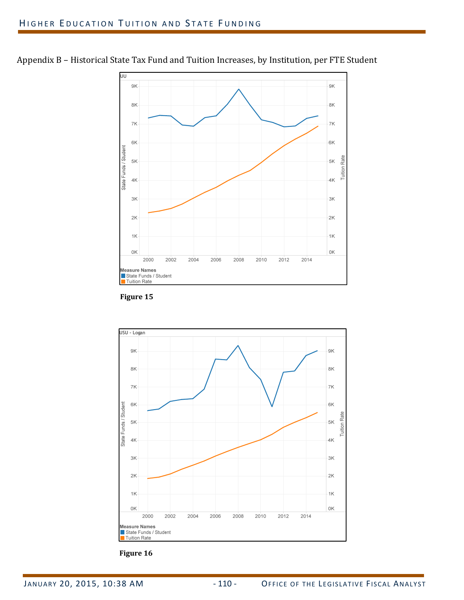



**Figure 15**



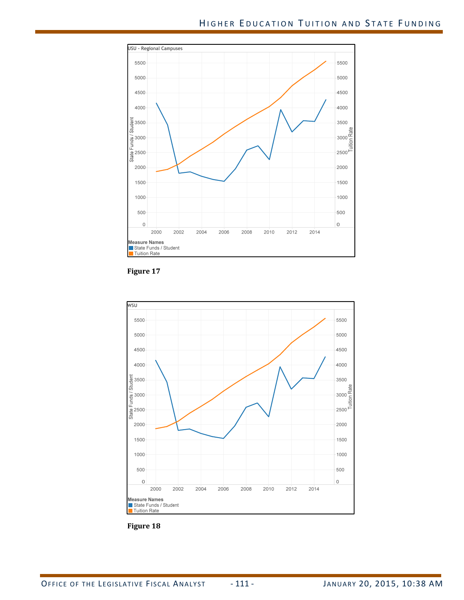





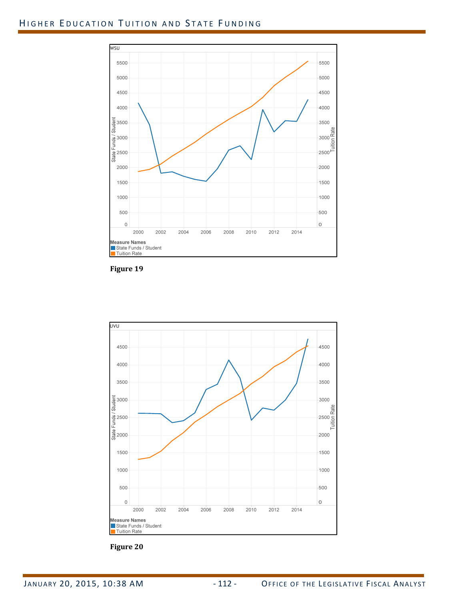# HIGHER EDUCATION TUITION AND STATE FUNDING



**Figure 19**



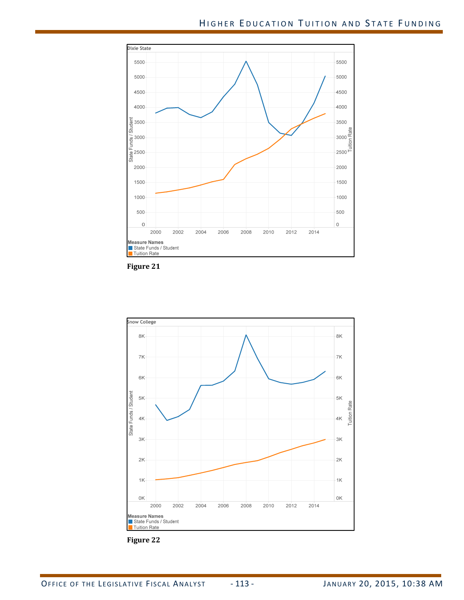



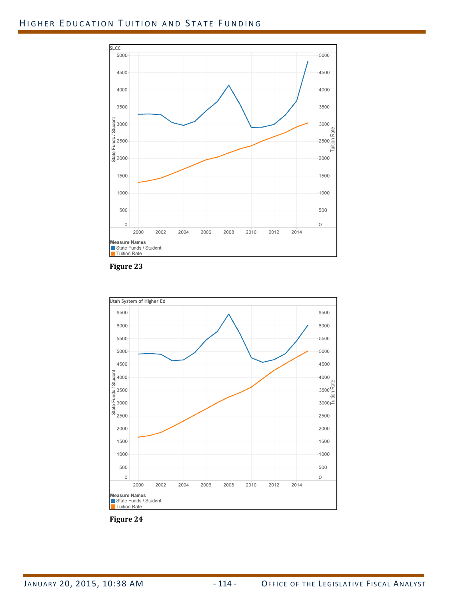# HIGHER EDUCATION TUITION AND STATE FUNDING







**Figure 24**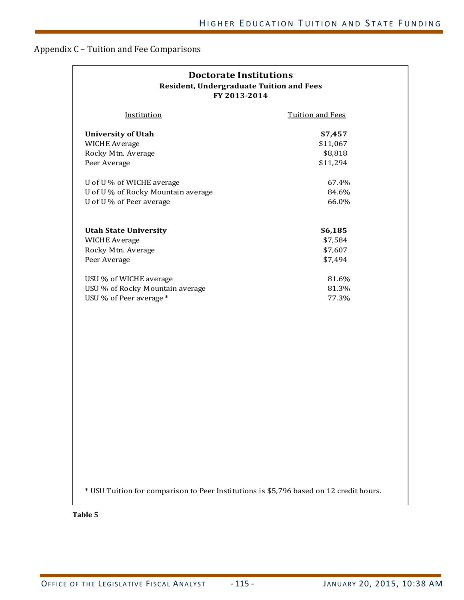# Appendix C - Tuition and Fee Comparisons

| <b>Doctorate Institutions</b><br><b>Resident, Undergraduate Tuition and Fees</b><br>FY 2013-2014 |                         |  |  |  |  |  |  |
|--------------------------------------------------------------------------------------------------|-------------------------|--|--|--|--|--|--|
| Institution                                                                                      | <b>Tuition and Fees</b> |  |  |  |  |  |  |
| <b>University of Utah</b>                                                                        | \$7,457                 |  |  |  |  |  |  |
| <b>WICHE Average</b>                                                                             | \$11,067                |  |  |  |  |  |  |
| Rocky Mtn. Average                                                                               | \$8,818                 |  |  |  |  |  |  |
| Peer Average                                                                                     | \$11,294                |  |  |  |  |  |  |
| U of U % of WICHE average                                                                        | 67.4%                   |  |  |  |  |  |  |
| U of U % of Rocky Mountain average                                                               | 84.6%                   |  |  |  |  |  |  |
| U of U % of Peer average                                                                         | 66.0%                   |  |  |  |  |  |  |
| <b>Utah State University</b>                                                                     | \$6,185                 |  |  |  |  |  |  |
| <b>WICHE Average</b>                                                                             | \$7,584                 |  |  |  |  |  |  |
| Rocky Mtn. Average                                                                               | \$7,607                 |  |  |  |  |  |  |
| Peer Average                                                                                     | \$7,494                 |  |  |  |  |  |  |
| USU % of WICHE average                                                                           | 81.6%                   |  |  |  |  |  |  |
| USU % of Rocky Mountain average                                                                  | 81.3%                   |  |  |  |  |  |  |
| USU % of Peer average *                                                                          | 77.3%                   |  |  |  |  |  |  |
|                                                                                                  |                         |  |  |  |  |  |  |
| * USU Tuition for comparison to Peer Institutions is \$5,796 based on 12 credit hours.           |                         |  |  |  |  |  |  |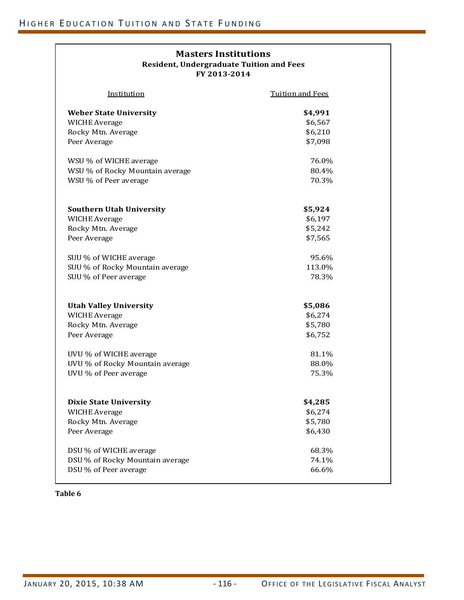### **Resident, Undergraduate Tuition and Fees Masters Institutions FY 2013‐2014**

| <u>Institution</u>                                    | <b>Tuition and Fees</b> |
|-------------------------------------------------------|-------------------------|
| <b>Weber State University</b>                         | \$4,991                 |
| <b>WICHE Average</b>                                  | \$6,567                 |
| Rocky Mtn. Average                                    | \$6,210                 |
| Peer Average                                          | \$7,098                 |
|                                                       |                         |
| WSU % of WICHE average                                | 76.0%                   |
| WSU % of Rocky Mountain average                       | 80.4%                   |
| WSU % of Peer average                                 | 70.3%                   |
|                                                       |                         |
| <b>Southern Utah University</b>                       | \$5,924                 |
| <b>WICHE Average</b>                                  | \$6,197                 |
| Rocky Mtn. Average                                    | \$5,242                 |
| Peer Average                                          | \$7,565                 |
|                                                       |                         |
| SUU % of WICHE average                                | 95.6%                   |
| SUU % of Rocky Mountain average                       | 113.0%                  |
| SUU % of Peer average                                 | 78.3%                   |
|                                                       |                         |
| <b>Utah Valley University</b>                         | \$5,086                 |
| <b>WICHE Average</b>                                  | \$6,274                 |
| Rocky Mtn. Average                                    | \$5,780                 |
| Peer Average                                          | \$6,752                 |
| UVU % of WICHE average                                | 81.1%                   |
| UVU % of Rocky Mountain average                       | 88.0%                   |
| UVU % of Peer average                                 | 75.3%                   |
|                                                       |                         |
|                                                       |                         |
| <b>Dixie State University</b><br><b>WICHE Average</b> | \$4,285<br>\$6,274      |
| Rocky Mtn. Average                                    | \$5,780                 |
| Peer Average                                          | \$6,430                 |
|                                                       |                         |
| DSU % of WICHE average                                | 68.3%                   |
| DSU % of Rocky Mountain average                       | 74.1%                   |
| DSU % of Peer average                                 | 66.6%                   |
|                                                       |                         |